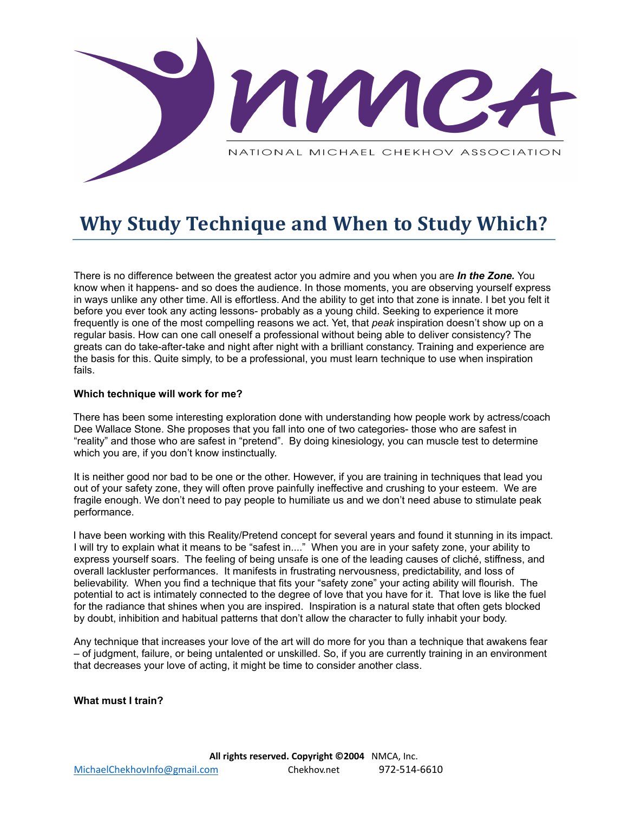

# **Why Study Technique and When to Study Which?**

There is no difference between the greatest actor you admire and you when you are *In the Zone.* You know when it happens- and so does the audience. In those moments, you are observing yourself express in ways unlike any other time. All is effortless. And the ability to get into that zone is innate. I bet you felt it before you ever took any acting lessons- probably as a young child. Seeking to experience it more frequently is one of the most compelling reasons we act. Yet, that *peak* inspiration doesn't show up on a regular basis. How can one call oneself a professional without being able to deliver consistency? The greats can do take-after-take and night after night with a brilliant constancy. Training and experience are the basis for this. Quite simply, to be a professional, you must learn technique to use when inspiration fails.

# **Which technique will work for me?**

There has been some interesting exploration done with understanding how people work by actress/coach Dee Wallace Stone. She proposes that you fall into one of two categories- those who are safest in "reality" and those who are safest in "pretend". By doing kinesiology, you can muscle test to determine which you are, if you don't know instinctually.

It is neither good nor bad to be one or the other. However, if you are training in techniques that lead you out of your safety zone, they will often prove painfully ineffective and crushing to your esteem. We are fragile enough. We don't need to pay people to humiliate us and we don't need abuse to stimulate peak performance.

I have been working with this Reality/Pretend concept for several years and found it stunning in its impact. I will try to explain what it means to be "safest in...." When you are in your safety zone, your ability to express yourself soars. The feeling of being unsafe is one of the leading causes of cliché, stiffness, and overall lackluster performances. It manifests in frustrating nervousness, predictability, and loss of believability. When you find a technique that fits your "safety zone" your acting ability will flourish. The potential to act is intimately connected to the degree of love that you have for it. That love is like the fuel for the radiance that shines when you are inspired. Inspiration is a natural state that often gets blocked by doubt, inhibition and habitual patterns that don't allow the character to fully inhabit your body.

Any technique that increases your love of the art will do more for you than a technique that awakens fear – of judgment, failure, or being untalented or unskilled. So, if you are currently training in an environment that decreases your love of acting, it might be time to consider another class.

### **What must I train?**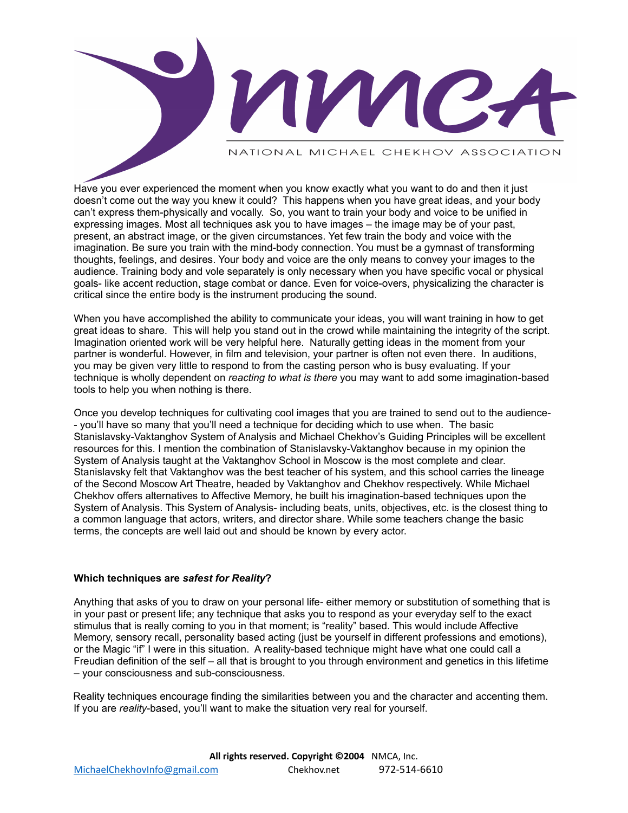NATIONAL MICHAEL CHEKHOV ASSOCIATION

AVVIC-

Have you ever experienced the moment when you know exactly what you want to do and then it just doesn't come out the way you knew it could? This happens when you have great ideas, and your body can't express them-physically and vocally. So, you want to train your body and voice to be unified in expressing images. Most all techniques ask you to have images – the image may be of your past, present, an abstract image, or the given circumstances. Yet few train the body and voice with the imagination. Be sure you train with the mind-body connection. You must be a gymnast of transforming thoughts, feelings, and desires. Your body and voice are the only means to convey your images to the audience. Training body and vole separately is only necessary when you have specific vocal or physical goals- like accent reduction, stage combat or dance. Even for voice-overs, physicalizing the character is critical since the entire body is the instrument producing the sound.

When you have accomplished the ability to communicate your ideas, you will want training in how to get great ideas to share. This will help you stand out in the crowd while maintaining the integrity of the script. Imagination oriented work will be very helpful here. Naturally getting ideas in the moment from your partner is wonderful. However, in film and television, your partner is often not even there. In auditions, you may be given very little to respond to from the casting person who is busy evaluating. If your technique is wholly dependent on *reacting to what is there* you may want to add some imagination-based tools to help you when nothing is there.

Once you develop techniques for cultivating cool images that you are trained to send out to the audience- - you'll have so many that you'll need a technique for deciding which to use when. The basic Stanislavsky-Vaktanghov System of Analysis and Michael Chekhov's Guiding Principles will be excellent resources for this. I mention the combination of Stanislavsky-Vaktanghov because in my opinion the System of Analysis taught at the Vaktanghov School in Moscow is the most complete and clear. Stanislavsky felt that Vaktanghov was the best teacher of his system, and this school carries the lineage of the Second Moscow Art Theatre, headed by Vaktanghov and Chekhov respectively. While Michael Chekhov offers alternatives to Affective Memory, he built his imagination-based techniques upon the System of Analysis. This System of Analysis- including beats, units, objectives, etc. is the closest thing to a common language that actors, writers, and director share. While some teachers change the basic terms, the concepts are well laid out and should be known by every actor.

# **Which techniques are** *safest for Reality***?**

Anything that asks of you to draw on your personal life- either memory or substitution of something that is in your past or present life; any technique that asks you to respond as your everyday self to the exact stimulus that is really coming to you in that moment; is "reality" based. This would include Affective Memory, sensory recall, personality based acting (just be yourself in different professions and emotions), or the Magic "if" I were in this situation. A reality-based technique might have what one could call a Freudian definition of the self – all that is brought to you through environment and genetics in this lifetime – your consciousness and sub-consciousness.

Reality techniques encourage finding the similarities between you and the character and accenting them. If you are *reality*-based, you'll want to make the situation very real for yourself.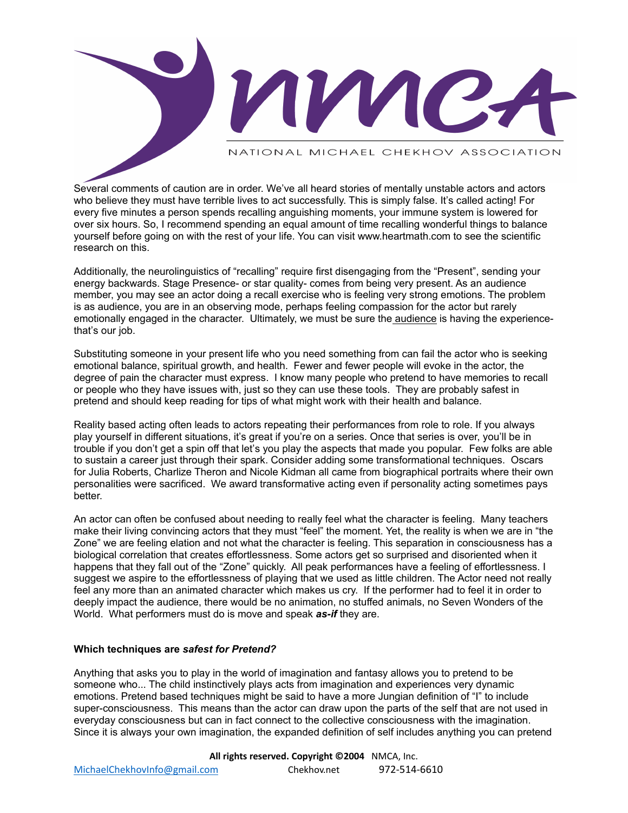NATIONAL MICHAEL CHEKHOV ASSOCIATION

AV VIC.

Several comments of caution are in order. We've all heard stories of mentally unstable actors and actors who believe they must have terrible lives to act successfully. This is simply false. It's called acting! For every five minutes a person spends recalling anguishing moments, your immune system is lowered for over six hours. So, I recommend spending an equal amount of time recalling wonderful things to balance yourself before going on with the rest of your life. You can visit www.heartmath.com to see the scientific research on this.

Additionally, the neurolinguistics of "recalling" require first disengaging from the "Present", sending your energy backwards. Stage Presence- or star quality- comes from being very present. As an audience member, you may see an actor doing a recall exercise who is feeling very strong emotions. The problem is as audience, you are in an observing mode, perhaps feeling compassion for the actor but rarely emotionally engaged in the character. Ultimately, we must be sure the audience is having the experiencethat's our job.

Substituting someone in your present life who you need something from can fail the actor who is seeking emotional balance, spiritual growth, and health. Fewer and fewer people will evoke in the actor, the degree of pain the character must express. I know many people who pretend to have memories to recall or people who they have issues with, just so they can use these tools. They are probably safest in pretend and should keep reading for tips of what might work with their health and balance.

Reality based acting often leads to actors repeating their performances from role to role. If you always play yourself in different situations, it's great if you're on a series. Once that series is over, you'll be in trouble if you don't get a spin off that let's you play the aspects that made you popular. Few folks are able to sustain a career just through their spark. Consider adding some transformational techniques. Oscars for Julia Roberts, Charlize Theron and Nicole Kidman all came from biographical portraits where their own personalities were sacrificed. We award transformative acting even if personality acting sometimes pays better.

An actor can often be confused about needing to really feel what the character is feeling. Many teachers make their living convincing actors that they must "feel" the moment. Yet, the reality is when we are in "the Zone" we are feeling elation and not what the character is feeling. This separation in consciousness has a biological correlation that creates effortlessness. Some actors get so surprised and disoriented when it happens that they fall out of the "Zone" quickly. All peak performances have a feeling of effortlessness. I suggest we aspire to the effortlessness of playing that we used as little children. The Actor need not really feel any more than an animated character which makes us cry. If the performer had to feel it in order to deeply impact the audience, there would be no animation, no stuffed animals, no Seven Wonders of the World. What performers must do is move and speak *as-if* they are.

# **Which techniques are** *safest for Pretend?*

Anything that asks you to play in the world of imagination and fantasy allows you to pretend to be someone who... The child instinctively plays acts from imagination and experiences very dynamic emotions. Pretend based techniques might be said to have a more Jungian definition of "I" to include super-consciousness. This means than the actor can draw upon the parts of the self that are not used in everyday consciousness but can in fact connect to the collective consciousness with the imagination. Since it is always your own imagination, the expanded definition of self includes anything you can pretend

**All rights reserved. Copyright ©2004** NMCA, Inc. [MichaelChekhovInfo@gmail.com](mailto:MichaelChekhovInfo@gmail.com) [Chekhov.net](http://www.chekhov.net/) 972-514-6610